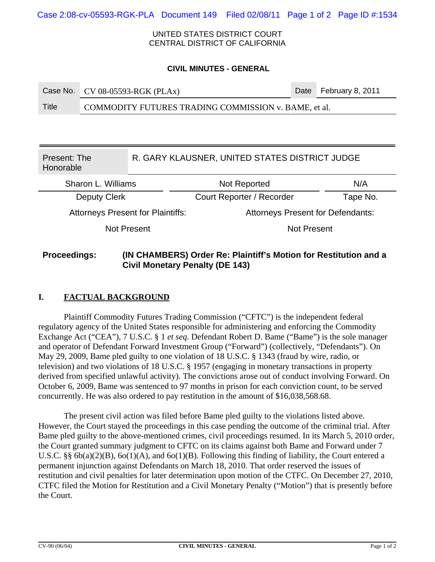UNITED STATES DISTRICT COURT CENTRAL DISTRICT OF CALIFORNIA

#### **CIVIL MINUTES - GENERAL**

| Case No. CV 08-05593-RGK (PLAx) | Date February 8, 2011 |
|---------------------------------|-----------------------|
|                                 |                       |

Title COMMODITY FUTURES TRADING COMMISSION v. BAME, et al.

| Present: The<br>Honorable                |  | R. GARY KLAUSNER, UNITED STATES DISTRICT JUDGE |          |  |
|------------------------------------------|--|------------------------------------------------|----------|--|
| Sharon L. Williams                       |  | Not Reported                                   | N/A      |  |
| Deputy Clerk                             |  | Court Reporter / Recorder                      | Tape No. |  |
| <b>Attorneys Present for Plaintiffs:</b> |  | <b>Attorneys Present for Defendants:</b>       |          |  |
| Not Present                              |  | <b>Not Present</b>                             |          |  |
|                                          |  |                                                |          |  |

# **Proceedings: (IN CHAMBERS) Order Re: Plaintiff's Motion for Restitution and a Civil Monetary Penalty (DE 143)**

# **I. FACTUAL BACKGROUND**

Plaintiff Commodity Futures Trading Commission ("CFTC") is the independent federal regulatory agency of the United States responsible for administering and enforcing the Commodity Exchange Act ("CEA"), 7 U.S.C. § 1 *et seq*. Defendant Robert D. Bame ("Bame") is the sole manager and operator of Defendant Forward Investment Group ("Forward") (collectively, "Defendants"). On May 29, 2009, Bame pled guilty to one violation of 18 U.S.C. § 1343 (fraud by wire, radio, or television) and two violations of 18 U.S.C. § 1957 (engaging in monetary transactions in property derived from specified unlawful activity). The convictions arose out of conduct involving Forward. On October 6, 2009, Bame was sentenced to 97 months in prison for each conviction count, to be served concurrently. He was also ordered to pay restitution in the amount of \$16,038,568.68.

The present civil action was filed before Bame pled guilty to the violations listed above. However, the Court stayed the proceedings in this case pending the outcome of the criminal trial. After Bame pled guilty to the above-mentioned crimes, civil proceedings resumed. In its March 5, 2010 order, the Court granted summary judgment to CFTC on its claims against both Bame and Forward under 7 U.S.C. §§  $6b(a)(2)(B)$ ,  $6o(1)(A)$ , and  $6o(1)(B)$ . Following this finding of liability, the Court entered a permanent injunction against Defendants on March 18, 2010. That order reserved the issues of restitution and civil penalties for later determination upon motion of the CTFC. On December 27, 2010, CTFC filed the Motion for Restitution and a Civil Monetary Penalty ("Motion") that is presently before the Court.